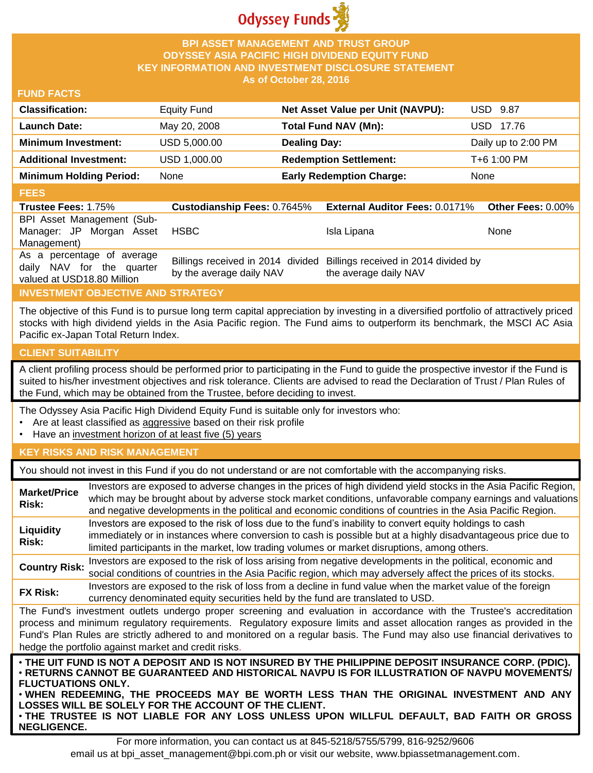

## **BPI ASSET MANAGEMENT AND TRUST GROUP ODYSSEY ASIA PACIFIC HIGH DIVIDEND EQUITY FUND KEY INFORMATION AND INVESTMENT DISCLOSURE STATEMENT As of October 28, 2016**

## **FUND FACTS**

| <b>Classification:</b>         | <b>Equity Fund</b> | Net Asset Value per Unit (NAVPU): | <b>USD 9.87</b>     |
|--------------------------------|--------------------|-----------------------------------|---------------------|
| <b>Launch Date:</b>            | May 20, 2008       | <b>Total Fund NAV (Mn):</b>       | USD 17.76           |
| <b>Minimum Investment:</b>     | USD 5,000.00       | <b>Dealing Day:</b>               | Daily up to 2:00 PM |
| <b>Additional Investment:</b>  | USD 1,000.00       | <b>Redemption Settlement:</b>     | T+6 1:00 PM         |
| <b>Minimum Holding Period:</b> | None               | <b>Early Redemption Charge:</b>   | None                |

## **FEES**

| <b>Trustee Fees: 1.75%</b>                                                            | <b>Custodianship Fees: 0.7645%</b> | <b>External Auditor Fees: 0.0171% Other Fees: 0.00%</b>                                         |      |
|---------------------------------------------------------------------------------------|------------------------------------|-------------------------------------------------------------------------------------------------|------|
| BPI Asset Management (Sub-                                                            |                                    |                                                                                                 |      |
| Manager: JP Morgan Asset                                                              | HSBC                               | Isla Lipana                                                                                     | None |
| Management)                                                                           |                                    |                                                                                                 |      |
| As a percentage of average<br>daily NAV for the quarter<br>valued at USD18.80 Million | by the average daily NAV           | Billings received in 2014 divided Billings received in 2014 divided by<br>the average daily NAV |      |

# **INVESTMENT OBJECTIVE AND STRATEGY**

The objective of this Fund is to pursue long term capital appreciation by investing in a diversified portfolio of attractively priced stocks with high dividend yields in the Asia Pacific region. The Fund aims to outperform its benchmark, the MSCI AC Asia Pacific ex-Japan Total Return Index.

### **CLIENT SUITABILITY**

**NEGLIGENCE.**

A client profiling process should be performed prior to participating in the Fund to guide the prospective investor if the Fund is suited to his/her investment objectives and risk tolerance. Clients are advised to read the Declaration of Trust / Plan Rules of the Fund, which may be obtained from the Trustee, before deciding to invest.

The Odyssey Asia Pacific High Dividend Equity Fund is suitable only for investors who:

- Are at least classified as aggressive based on their risk profile
- Have an investment horizon of at least five (5) years

### **KEY RISKS AND RISK MANAGEMENT**

You should not invest in this Fund if you do not understand or are not comfortable with the accompanying risks.

| <b>Market/Price</b><br>Risk:                                                                                                                                                                                                                                                                                                                                                                                                         | Investors are exposed to adverse changes in the prices of high dividend yield stocks in the Asia Pacific Region,<br>which may be brought about by adverse stock market conditions, unfavorable company earnings and valuations<br>and negative developments in the political and economic conditions of countries in the Asia Pacific Region. |  |
|--------------------------------------------------------------------------------------------------------------------------------------------------------------------------------------------------------------------------------------------------------------------------------------------------------------------------------------------------------------------------------------------------------------------------------------|-----------------------------------------------------------------------------------------------------------------------------------------------------------------------------------------------------------------------------------------------------------------------------------------------------------------------------------------------|--|
| Liquidity<br><b>Risk:</b>                                                                                                                                                                                                                                                                                                                                                                                                            | Investors are exposed to the risk of loss due to the fund's inability to convert equity holdings to cash<br>immediately or in instances where conversion to cash is possible but at a highly disadvantageous price due to<br>limited participants in the market, low trading volumes or market disruptions, among others.                     |  |
| <b>Country Risk:</b>                                                                                                                                                                                                                                                                                                                                                                                                                 | Investors are exposed to the risk of loss arising from negative developments in the political, economic and<br>social conditions of countries in the Asia Pacific region, which may adversely affect the prices of its stocks.                                                                                                                |  |
| <b>FX Risk:</b>                                                                                                                                                                                                                                                                                                                                                                                                                      | Investors are exposed to the risk of loss from a decline in fund value when the market value of the foreign<br>currency denominated equity securities held by the fund are translated to USD.                                                                                                                                                 |  |
| The Fund's investment outlets undergo proper screening and evaluation in accordance with the Trustee's accreditation<br>process and minimum regulatory requirements. Regulatory exposure limits and asset allocation ranges as provided in the<br>Fund's Plan Rules are strictly adhered to and monitored on a regular basis. The Fund may also use financial derivatives to<br>hedge the portfolio against market and credit risks. |                                                                                                                                                                                                                                                                                                                                               |  |
| . THE UIT FUND IS NOT A DEPOSIT AND IS NOT INSURED BY THE PHILIPPINE DEPOSIT INSURANCE CORP. (PDIC).<br>⋅RETURNS CANNOT BE GUARANTEED AND HISTORICAL NAVPU IS FOR ILLUSTRATION OF NAVPU MOVEMENTS/<br><b>FLUCTUATIONS ONLY.</b><br>. WHEN REDEEMING, THE PROCEEDS MAY BE WORTH LESS THAN THE ORIGINAL INVESTMENT AND ANY<br>LOSSES WILL BE SOLELY FOR THE ACCOUNT OF THE CLIENT.                                                     |                                                                                                                                                                                                                                                                                                                                               |  |

For more information, you can contact us at 845-5218/5755/5799, 816-9252/9606 email us at bpi\_asset\_management@bpi.com.ph or visit our website, www.bpiassetmanagement.com.

• **THE TRUSTEE IS NOT LIABLE FOR ANY LOSS UNLESS UPON WILLFUL DEFAULT, BAD FAITH OR GROSS**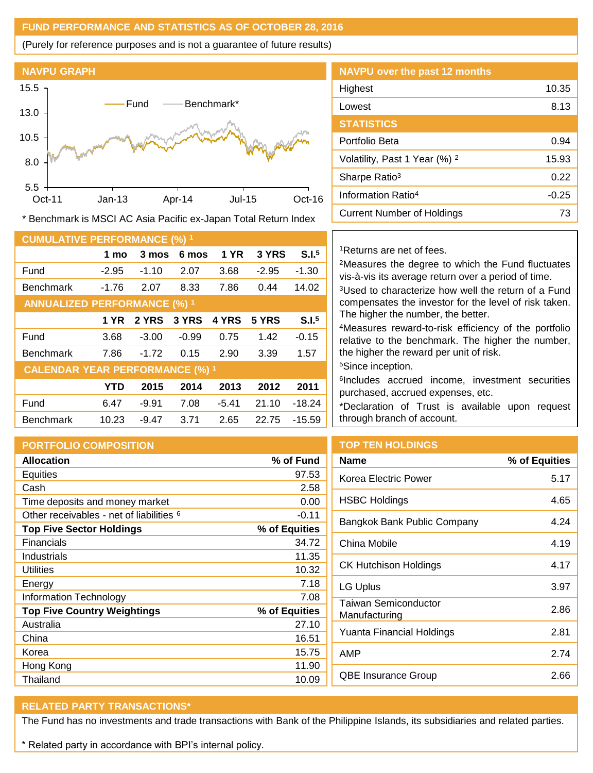# **FUND PERFORMANCE AND STATISTICS AS OF OCTOBER 28, 2016**

(Purely for reference purposes and is not a guarantee of future results)



**NAVPU over the past 12 months** Highest 10.35 Lowest 8.13 **STATISTICS** Portfolio Beta 6.94 Volatility, Past 1 Year (%) <sup>2</sup> 15.93 Sharpe Ratio<sup>3</sup> 0.22 Information Ratio<sup>4</sup> -0.25 Current Number of Holdings 73

\* Benchmark is MSCI AC Asia Pacific ex-Japan Total Return Index

| <b>CUMULATIVE PERFORMANCE (%) 1</b>    |            |         |         |             |         |                   |
|----------------------------------------|------------|---------|---------|-------------|---------|-------------------|
|                                        | 1 mo       | 3 mos   | 6 mos   | <b>1 YR</b> | 3 YRS   | S.I. <sup>5</sup> |
| Fund                                   | $-2.95$    | $-1.10$ | 2.07    | 3.68        | $-2.95$ | $-1.30$           |
| <b>Benchmark</b>                       | $-1.76$    | 2.07    | 8.33    | 7.86        | 0.44    | 14.02             |
| <b>ANNUALIZED PERFORMANCE (%) 1</b>    |            |         |         |             |         |                   |
|                                        | 1 YR       | 2 YRS   | 3 YRS   | 4 YRS       | 5 YRS   | S.I. <sup>5</sup> |
| Fund                                   | 3.68       | $-3.00$ | $-0.99$ | 0.75        | 1.42    | $-0.15$           |
| <b>Benchmark</b>                       | 7.86       | $-1.72$ | 0.15    | 2.90        | 3.39    | 1.57              |
| <b>CALENDAR YEAR PERFORMANCE (%) 1</b> |            |         |         |             |         |                   |
|                                        | <b>YTD</b> | 2015    | 2014    | 2013        | 2012    | 2011              |
| Fund                                   | 6.47       | $-9.91$ | 7.08    | $-5.41$     | 21.10   | $-18.24$          |
| <b>Benchmark</b>                       | 10.23      | $-9.47$ | 3.71    | 2.65        | 22.75   | $-15.59$          |

#### <sup>1</sup>Returns are net of fees.

<sup>2</sup>Measures the degree to which the Fund fluctuates vis-à-vis its average return over a period of time. <sup>3</sup>Used to characterize how well the return of a Fund

compensates the investor for the level of risk taken. The higher the number, the better.

<sup>4</sup>Measures reward-to-risk efficiency of the portfolio relative to the benchmark. The higher the number, the higher the reward per unit of risk.

<sup>5</sup>Since inception.

6 Includes accrued income, investment securities purchased, accrued expenses, etc.

\*Declaration of Trust is available upon request through branch of account.

| <b>PORTFOLIO COMPOSITION</b>                        |               |
|-----------------------------------------------------|---------------|
| <b>Allocation</b>                                   | % of Fund     |
| Equities                                            | 97.53         |
| Cash                                                | 2.58          |
| Time deposits and money market                      | 0.00          |
| Other receivables - net of liabilities <sup>6</sup> | $-0.11$       |
| <b>Top Five Sector Holdings</b>                     | % of Equities |
| Financials                                          | 34.72         |
| Industrials                                         | 11.35         |
| Utilities                                           | 10.32         |
| Energy                                              | 7.18          |
| <b>Information Technology</b>                       | 7.08          |
| <b>Top Five Country Weightings</b>                  | % of Equities |
| Australia                                           | 27.10         |
| China                                               | 16.51         |
| Korea                                               | 15.75         |
| Hong Kong                                           | 11.90         |
| Thailand                                            | 10.09         |

## **TOP TEN HOLDINGS**

| Name                                  | % of Equities |
|---------------------------------------|---------------|
| Korea Electric Power                  | 5.17          |
| HSBC Holdings                         | 4.65          |
| Bangkok Bank Public Company           | 4.24          |
| China Mobile                          | 4.19          |
| <b>CK Hutchison Holdings</b>          | 4.17          |
| LG Uplus                              | 3.97          |
| Taiwan Semiconductor<br>Manufacturing | 2.86          |
| Yuanta Financial Holdings             | 2.81          |
| AMP                                   | 2.74          |
| QBE Insurance Group                   | 2.66          |
|                                       |               |

## **RELATED PARTY TRANSACTIONS\***

The Fund has no investments and trade transactions with Bank of the Philippine Islands, its subsidiaries and related parties.

\* Related party in accordance with BPI's internal policy.